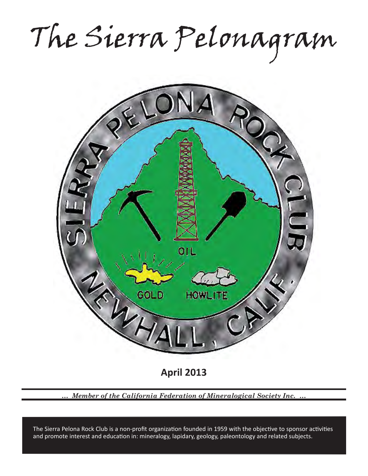The Sierra Pelonagram



*… Member of the California Federation of Mineralogical Society Inc. …*

and promote interest and education in: mineralogy, lapidary, geology, paleontology and related subjects. The Sierra Pelona Rock Club is a non-profit organization founded in 1959 with the objective to sponsor activities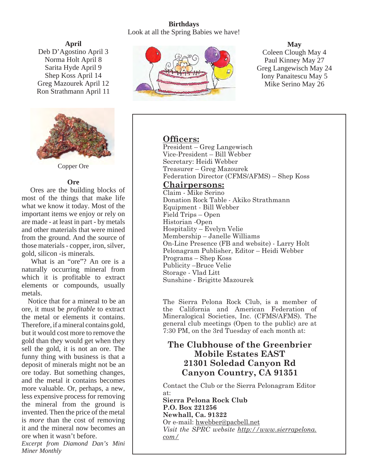# **Birthdays** Look at all the Spring Babies we have!

**April** Deb D'Agostino April 3 Norma Holt April 8 Sarita Hyde April 9 Shep Koss April 14 Greg Mazourek April 12 Ron Strathmann April 11



Copper Ore

# **Ore**

 Ores are the building blocks of most of the things that make life what we know it today. Most of the important items we enjoy or rely on are made - at least in part - by metals and other materials that were mined from the ground. And the source of those materials - copper, iron, silver, gold, silicon -is minerals.

 What is an "ore"? An ore is a naturally occurring mineral from which it is profitable to extract elements or compounds, usually metals.

 Notice that for a mineral to be an ore, it must be *profitable* to extract the metal or elements it contains. Therefore, if a mineral contains gold, but it would cost more to remove the gold than they would get when they sell the gold, it is not an ore. The funny thing with business is that a deposit of minerals might not be an ore today. But something changes, and the metal it contains becomes more valuable. Or, perhaps, a new, less expensive process for removing the mineral from the ground is invented. Then the price of the metal is *more* than the cost of removing it and the mineral now becomes an ore when it wasn't before.

*Excerpt from Diamond Dan's Mini Miner Monthly*



**May** Coleen Clough May 4 Paul Kinney May 27 Greg Langewisch May 24 Iony Panaitescu May 5 Mike Serino May 26

# **Officers:**

President – Greg Langewisch Vice-President – Bill Webber Secretary: Heidi Webber Treasurer – Greg Mazourek Federation Director (CFMS/AFMS) – Shep Koss

# **Chairpersons:**

Claim - Mike Serino Donation Rock Table - Akiko Strathmann Equipment - Bill Webber Field Trips – Open Historian -Open Hospitality – Evelyn Velie Membership – Janelle Williams On-Line Presence (FB and website) - Larry Holt Pelonagram Publisher, Editor – Heidi Webber Programs – Shep Koss Publicity –Bruce Velie Storage - Vlad Litt Sunshine - Brigitte Mazourek

The Sierra Pelona Rock Club, is a member of the California and American Federation of Mineralogical Societies, Inc. (CFMS/AFMS). The general club meetings (Open to the public) are at 7:30 PM, on the 3rd Tuesday of each month at:

# **The Clubhouse of the Greenbrier Mobile Estates EAST 21301 Soledad Canyon Rd Canyon Country, CA 91351**

Contact the Club or the Sierra Pelonagram Editor at:

**Sierra Pelona Rock Club P.O. Box 221256 Newhall, Ca. 91322** Or e-mail: hwebber@pacbell.net *Visit the SPRC website http://www.sierrapelona. com/*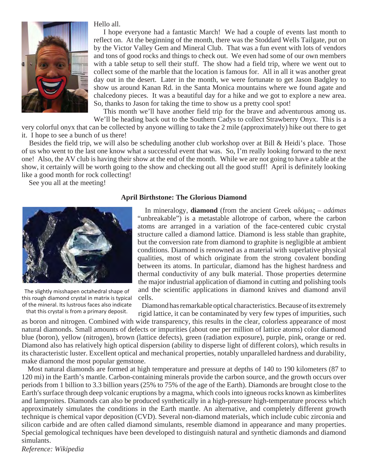

#### Hello all.

 I hope everyone had a fantastic March! We had a couple of events last month to reflect on. At the beginning of the month, there was the Stoddard Wells Tailgate, put on by the Victor Valley Gem and Mineral Club. That was a fun event with lots of vendors and tons of good rocks and things to check out. We even had some of our own members with a table setup to sell their stuff. The show had a field trip, where we went out to collect some of the marble that the location is famous for. All in all it was another great day out in the desert. Later in the month, we were fortunate to get Jason Badgley to show us around Kanan Rd. in the Santa Monica mountains where we found agate and chalcedony pieces. It was a beautiful day for a hike and we got to explore a new area. So, thanks to Jason for taking the time to show us a pretty cool spot!

 This month we'll have another field trip for the brave and adventurous among us. We'll be heading back out to the Southern Cadys to collect Strawberry Onyx. This is a

very colorful onyx that can be collected by anyone willing to take the 2 mile (approximately) hike out there to get it. I hope to see a bunch of us there!

 Besides the field trip, we will also be scheduling another club workshop over at Bill & Heidi's place. Those of us who went to the last one know what a successful event that was. So, I'm really looking forward to the next one! Also, the AV club is having their show at the end of the month. While we are not going to have a table at the show, it certainly will be worth going to the show and checking out all the good stuff! April is definitely looking like a good month for rock collecting!

See you all at the meeting!



The slightly misshapen octahedral shape of this rough diamond crystal in matrix is typical of the mineral. Its lustrous faces also indicate that this crystal is from a primary deposit.

### **April Birthstone: The Glorious Diamond**

 In mineralogy, **diamond** (from the ancient Greek αδάμας – *adámas* "unbreakable") is a metastable allotrope of carbon, where the carbon atoms are arranged in a variation of the face-centered cubic crystal structure called a diamond lattice. Diamond is less stable than graphite, but the conversion rate from diamond to graphite is negligible at ambient conditions. Diamond is renowned as a material with superlative physical qualities, most of which originate from the strong covalent bonding between its atoms. In particular, diamond has the highest hardness and thermal conductivity of any bulk material. Those properties determine the major industrial application of diamond in cutting and polishing tools and the scientific applications in diamond knives and diamond anvil cells.

Diamond has remarkable optical characteristics. Because of its extremely

rigid lattice, it can be contaminated by very few types of impurities, such as boron and nitrogen. Combined with wide transparency, this results in the clear, colorless appearance of most natural diamonds. Small amounts of defects or impurities (about one per million of lattice atoms) color diamond blue (boron), yellow (nitrogen), brown (lattice defects), green (radiation exposure), purple, pink, orange or red. Diamond also has relatively high optical dispersion (ability to disperse light of different colors), which results in its characteristic luster. Excellent optical and mechanical properties, notably unparalleled hardness and durability, make diamond the most popular gemstone.

 Most natural diamonds are formed at high temperature and pressure at depths of 140 to 190 kilometers (87 to 120 mi) in the Earth's mantle. Carbon-containing minerals provide the carbon source, and the growth occurs over periods from 1 billion to 3.3 billion years (25% to 75% of the age of the Earth). Diamonds are brought close to the Earth′s surface through deep volcanic eruptions by a magma, which cools into igneous rocks known as kimberlites and lamproites. Diamonds can also be produced synthetically in a high-pressure high-temperature process which approximately simulates the conditions in the Earth mantle. An alternative, and completely different growth technique is chemical vapor deposition (CVD). Several non-diamond materials, which include cubic zirconia and silicon carbide and are often called diamond simulants, resemble diamond in appearance and many properties. Special gemological techniques have been developed to distinguish natural and synthetic diamonds and diamond simulants.

*Reference: Wikipedia*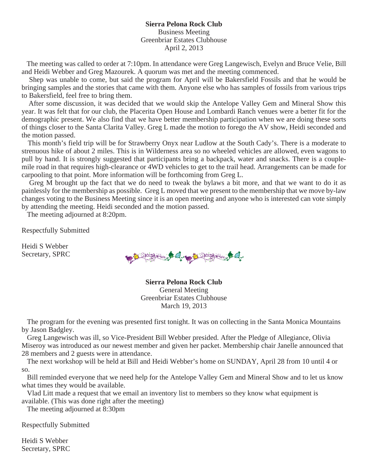### **Sierra Pelona Rock Club** Business Meeting Greenbriar Estates Clubhouse April 2, 2013

 The meeting was called to order at 7:10pm. In attendance were Greg Langewisch, Evelyn and Bruce Velie, Bill and Heidi Webber and Greg Mazourek. A quorum was met and the meeting commenced.

 Shep was unable to come, but said the program for April will be Bakersfield Fossils and that he would be bringing samples and the stories that came with them. Anyone else who has samples of fossils from various trips to Bakersfield, feel free to bring them.

 After some discussion, it was decided that we would skip the Antelope Valley Gem and Mineral Show this year. It was felt that for our club, the Placerita Open House and Lombardi Ranch venues were a better fit for the demographic present. We also find that we have better membership participation when we are doing these sorts of things closer to the Santa Clarita Valley. Greg L made the motion to forego the AV show, Heidi seconded and the motion passed.

 This month's field trip will be for Strawberry Onyx near Ludlow at the South Cady's. There is a moderate to strenuous hike of about 2 miles. This is in Wilderness area so no wheeled vehicles are allowed, even wagons to pull by hand. It is strongly suggested that participants bring a backpack, water and snacks. There is a couplemile road in that requires high-clearance or 4WD vehicles to get to the trail head. Arrangements can be made for carpooling to that point. More information will be forthcoming from Greg L.

 Greg M brought up the fact that we do need to tweak the bylaws a bit more, and that we want to do it as painlessly for the membership as possible. Greg L moved that we present to the membership that we move by-law changes voting to the Business Meeting since it is an open meeting and anyone who is interested can vote simply by attending the meeting. Heidi seconded and the motion passed.

The meeting adjourned at 8:20pm.

Respectfully Submitted

Heidi S Webber Secretary, SPRC

Spring it fore and the spring it fore and the space

**Sierra Pelona Rock Club** General Meeting Greenbriar Estates Clubhouse March 19, 2013

 The program for the evening was presented first tonight. It was on collecting in the Santa Monica Mountains by Jason Badgley.

 Greg Langewisch was ill, so Vice-President Bill Webber presided. After the Pledge of Allegiance, Olivia Miseroy was introduced as our newest member and given her packet. Membership chair Janelle announced that 28 members and 2 guests were in attendance.

 The next workshop will be held at Bill and Heidi Webber's home on SUNDAY, April 28 from 10 until 4 or so.

 Bill reminded everyone that we need help for the Antelope Valley Gem and Mineral Show and to let us know what times they would be available.

 Vlad Litt made a request that we email an inventory list to members so they know what equipment is available. (This was done right after the meeting)

The meeting adjourned at 8:30pm

Respectfully Submitted

Heidi S Webber Secretary, SPRC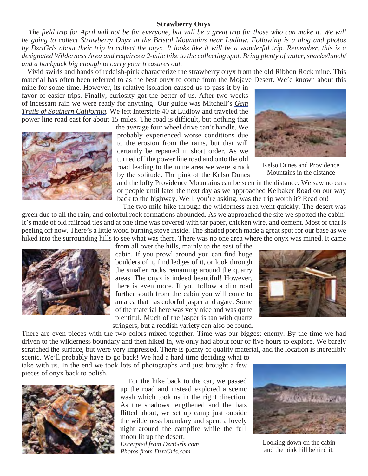#### **Strawberry Onyx**

 *The field trip for April will not be for everyone, but will be a great trip for those who can make it. We will be going to collect Strawberry Onyx in the Bristol Mountains near Ludlow. Following is a blog and photos by DzrtGrls about their trip to collect the onyx. It looks like it will be a wonderful trip. Remember, this is a designated Wilderness Area and requires a 2-mile hike to the collecting spot. Bring plenty of water, snacks/lunch/ and a backpack big enough to carry your treasures out.*

 Vivid swirls and bands of reddish-pink characterize the strawberry onyx from the old Ribbon Rock mine. This material has often been referred to as the best onyx to come from the Mojave Desert. We'd known about this

mine for some time. However, its relative isolation caused us to pass it by in favor of easier trips. Finally, curiosity got the better of us. After two weeks of incessant rain we were ready for anything! Our guide was Mitchell's *Gem Trails of Southern California.* We left Interstate 40 at Ludlow and traveled the power line road east for about 15 miles. The road is difficult, but nothing that



the average four wheel drive can't handle. We probably experienced worse conditions due to the erosion from the rains, but that will certainly be repaired in short order. As we turned off the power line road and onto the old road leading to the mine area we were struck by the solitude. The pink of the Kelso Dunes

Kelso Dunes and Providence Mountains in the distance

and the lofty Providence Mountains can be seen in the distance. We saw no cars or people until later the next day as we approached Kelbaker Road on our way back to the highway. Well, you're asking, was the trip worth it? Read on!

 The two mile hike through the wilderness area went quickly. The desert was green due to all the rain, and colorful rock formations abounded. As we approached the site we spotted the cabin! It's made of old railroad ties and at one time was covered with tar paper, chicken wire, and cement. Most of that is peeling off now. There's a little wood burning stove inside. The shaded porch made a great spot for our base as we hiked into the surrounding hills to see what was there. There was no one area where the onyx was mined. It came



from all over the hills, mainly to the east of the cabin. If you prowl around you can find huge boulders of it, find ledges of it, or look through the smaller rocks remaining around the quarry areas. The onyx is indeed beautiful! However, there is even more. If you follow a dim road further south from the cabin you will come to an area that has colorful jasper and agate. Some of the material here was very nice and was quite plentiful. Much of the jasper is tan with quartz stringers, but a reddish variety can also be found.



There are even pieces with the two colors mixed together. Time was our biggest enemy. By the time we had driven to the wilderness boundary and then hiked in, we only had about four or five hours to explore. We barely scratched the surface, but were very impressed. There is plenty of quality material, and the location is incredibly

scenic. We'll probably have to go back! We had a hard time deciding what to take with us. In the end we took lots of photographs and just brought a few pieces of onyx back to polish.



 For the hike back to the car, we passed up the road and instead explored a scenic wash which took us in the right direction. As the shadows lengthened and the bats flitted about, we set up camp just outside the wilderness boundary and spent a lovely night around the campfire while the full moon lit up the desert. *Excerpted from DzrtGrls.com Photos from DzrtGrls.com*



Looking down on the cabin and the pink hill behind it.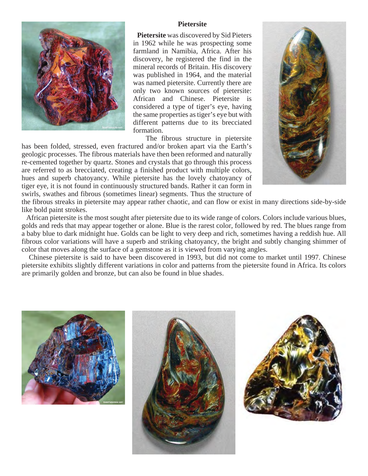

#### **Pietersite**

 **Pietersite** was discovered by Sid Pieters in 1962 while he was prospecting some farmland in Namibia, Africa. After his discovery, he registered the find in the mineral records of Britain. His discovery was published in 1964, and the material was named pietersite. Currently there are only two known sources of pietersite: African and Chinese. Pietersite is considered a type of tiger's eye, having the same properties as tiger's eye but with different patterns due to its brecciated formation.

 The fibrous structure in pietersite has been folded, stressed, even fractured and/or broken apart via the Earth's geologic processes. The fibrous materials have then been reformed and naturally re-cemented together by quartz. Stones and crystals that go through this process are referred to as brecciated, creating a finished product with multiple colors, hues and superb chatoyancy. While pietersite has the lovely chatoyancy of tiger eye, it is not found in continuously structured bands. Rather it can form in swirls, swathes and fibrous (sometimes linear) segments. Thus the structure of



the fibrous streaks in pietersite may appear rather chaotic, and can flow or exist in many directions side-by-side like bold paint strokes.

 African pietersite is the most sought after pietersite due to its wide range of colors. Colors include various blues, golds and reds that may appear together or alone. Blue is the rarest color, followed by red. The blues range from a baby blue to dark midnight hue. Golds can be light to very deep and rich, sometimes having a reddish hue. All fibrous color variations will have a superb and striking chatoyancy, the bright and subtly changing shimmer of color that moves along the surface of a gemstone as it is viewed from varying angles.

 Chinese pietersite is said to have been discovered in 1993, but did not come to market until 1997. Chinese pietersite exhibits slightly different variations in color and patterns from the pietersite found in Africa. Its colors are primarily golden and bronze, but can also be found in blue shades.